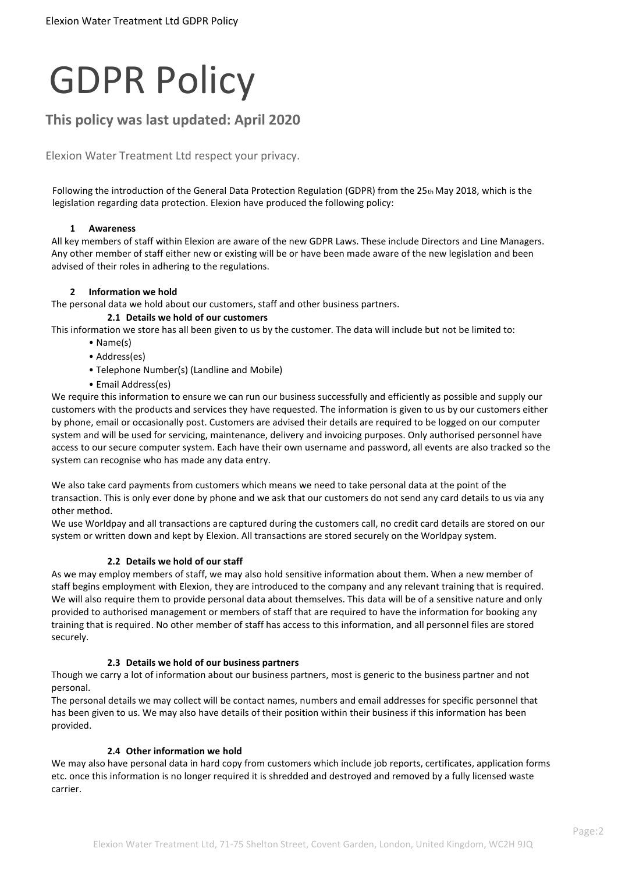# GDPR Policy

# **This policy was last updated: April 2020**

Elexion Water Treatment Ltd respect your privacy.

Following the introduction of the General Data Protection Regulation (GDPR) from the 25th May 2018, which is the legislation regarding data protection. Elexion have produced the following policy:

# **1 Awareness**

All key members of staff within Elexion are aware of the new GDPR Laws. These include Directors and Line Managers. Any other member of staff either new or existing will be or have been made aware of the new legislation and been advised of their roles in adhering to the regulations.

# **2 Information we hold**

The personal data we hold about our customers, staff and other business partners.

# **2.1 Details we hold of our customers**

This information we store has all been given to us by the customer. The data will include but not be limited to:

- Name(s)
- Address(es)
- Telephone Number(s) (Landline and Mobile)
- Email Address(es)

We require this information to ensure we can run our business successfully and efficiently as possible and supply our customers with the products and services they have requested. The information is given to us by our customers either by phone, email or occasionally post. Customers are advised their details are required to be logged on our computer system and will be used for servicing, maintenance, delivery and invoicing purposes. Only authorised personnel have access to our secure computer system. Each have their own username and password, all events are also tracked so the system can recognise who has made any data entry.

We also take card payments from customers which means we need to take personal data at the point of the transaction. This is only ever done by phone and we ask that our customers do not send any card details to us via any other method.

We use Worldpay and all transactions are captured during the customers call, no credit card details are stored on our system or written down and kept by Elexion. All transactions are stored securely on the Worldpay system.

# **2.2 Details we hold of our staff**

As we may employ members of staff, we may also hold sensitive information about them. When a new member of staff begins employment with Elexion, they are introduced to the company and any relevant training that is required. We will also require them to provide personal data about themselves. This data will be of a sensitive nature and only provided to authorised management or members of staff that are required to have the information for booking any training that is required. No other member of staff has access to this information, and all personnel files are stored securely.

# **2.3 Details we hold of our business partners**

Though we carry a lot of information about our business partners, most is generic to the business partner and not personal.

The personal details we may collect will be contact names, numbers and email addresses for specific personnel that has been given to us. We may also have details of their position within their business if this information has been provided.

# **2.4 Other information we hold**

We may also have personal data in hard copy from customers which include job reports, certificates, application forms etc. once this information is no longer required it is shredded and destroyed and removed by a fully licensed waste carrier.